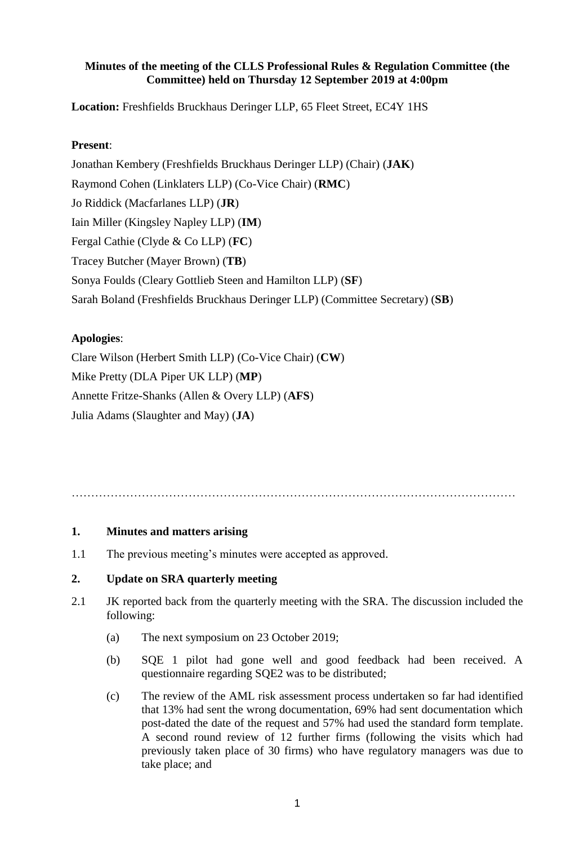## **Minutes of the meeting of the CLLS Professional Rules & Regulation Committee (the Committee) held on Thursday 12 September 2019 at 4:00pm**

**Location:** Freshfields Bruckhaus Deringer LLP, 65 Fleet Street, EC4Y 1HS

### **Present**:

Jonathan Kembery (Freshfields Bruckhaus Deringer LLP) (Chair) (**JAK**) Raymond Cohen (Linklaters LLP) (Co-Vice Chair) (**RMC**) Jo Riddick (Macfarlanes LLP) (**JR**) Iain Miller (Kingsley Napley LLP) (**IM**) Fergal Cathie (Clyde & Co LLP) (**FC**) Tracey Butcher (Mayer Brown) (**TB**) Sonya Foulds (Cleary Gottlieb Steen and Hamilton LLP) (**SF**) Sarah Boland (Freshfields Bruckhaus Deringer LLP) (Committee Secretary) (**SB**)

## **Apologies**:

Clare Wilson (Herbert Smith LLP) (Co-Vice Chair) (**CW**) Mike Pretty (DLA Piper UK LLP) (**MP**) Annette Fritze-Shanks (Allen & Overy LLP) (**AFS**) Julia Adams (Slaughter and May) (**JA**)

……………………………………………………………………………………………………

### **1. Minutes and matters arising**

1.1 The previous meeting's minutes were accepted as approved.

### **2. Update on SRA quarterly meeting**

- 2.1 JK reported back from the quarterly meeting with the SRA. The discussion included the following:
	- (a) The next symposium on 23 October 2019;
	- (b) SQE 1 pilot had gone well and good feedback had been received. A questionnaire regarding SQE2 was to be distributed;
	- (c) The review of the AML risk assessment process undertaken so far had identified that 13% had sent the wrong documentation, 69% had sent documentation which post-dated the date of the request and 57% had used the standard form template. A second round review of 12 further firms (following the visits which had previously taken place of 30 firms) who have regulatory managers was due to take place; and